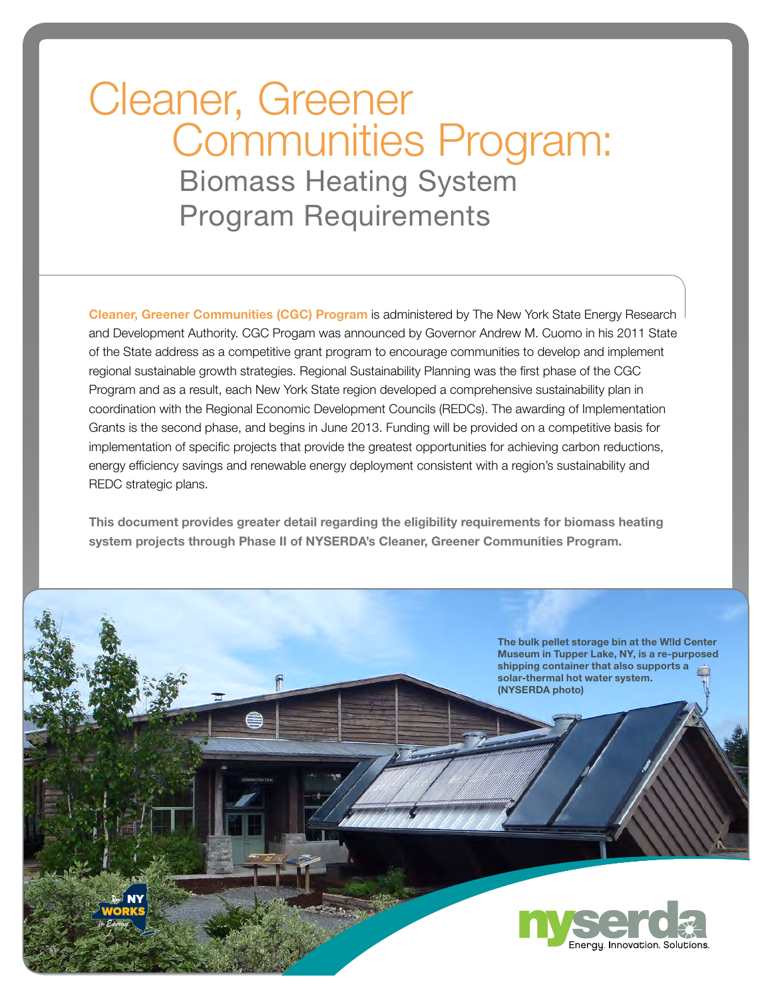# Cleaner, Greener Communities Program: Biomass Heating System Program Requirements

Cleaner, Greener Communities (CGC) Program is administered by The New York State Energy Research and Development Authority. CGC Progam was announced by Governor Andrew M. Cuomo in his 2011 State of the State address as a competitive grant program to encourage communities to develop and implement regional sustainable growth strategies. Regional Sustainability Planning was the first phase of the CGC Program and as a result, each New York State region developed a comprehensive sustainability plan in coordination with the Regional Economic Development Councils (REDCs). The awarding of Implementation Grants is the second phase, and begins in June 2013. Funding will be provided on a competitive basis for implementation of specific projects that provide the greatest opportunities for achieving carbon reductions, energy efficiency savings and renewable energy deployment consistent with a region's sustainability and REDC strategic plans.

This document provides greater detail regarding the eligibility requirements for biomass heating system projects through Phase II of NYSERDA's Cleaner, Greener Communities Program.

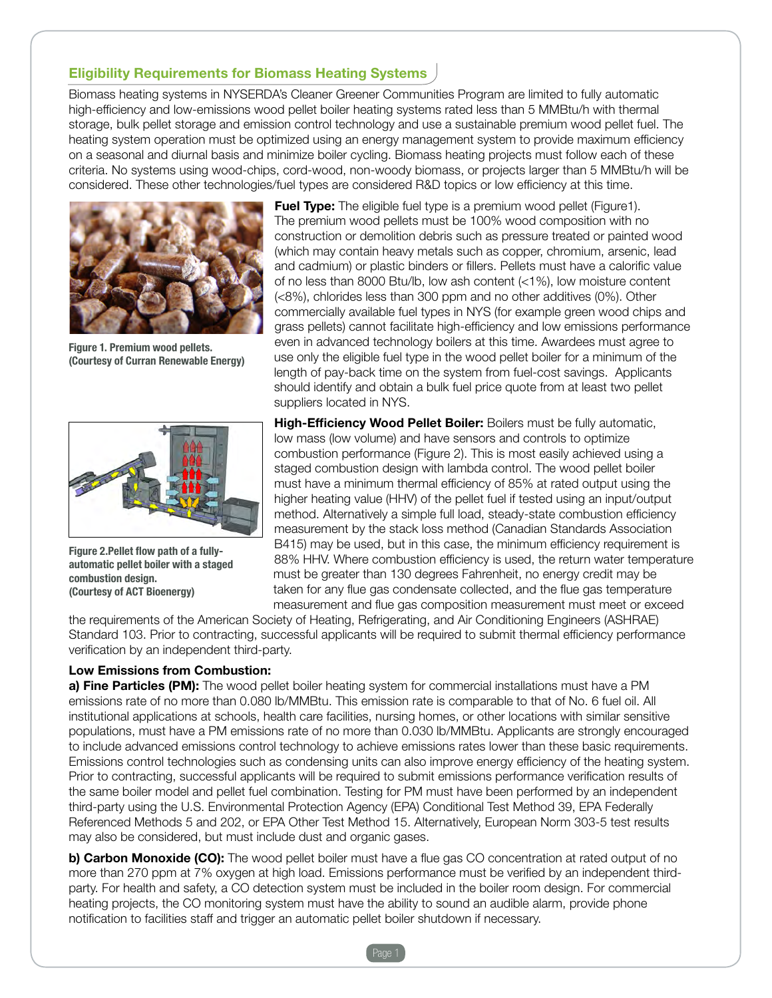## Eligibility Requirements for Biomass Heating Systems

Biomass heating systems in NYSERDA's Cleaner Greener Communities Program are limited to fully automatic high-efficiency and low-emissions wood pellet boiler heating systems rated less than 5 MMBtu/h with thermal storage, bulk pellet storage and emission control technology and use a sustainable premium wood pellet fuel. The heating system operation must be optimized using an energy management system to provide maximum efficiency on a seasonal and diurnal basis and minimize boiler cycling. Biomass heating projects must follow each of these criteria. No systems using wood-chips, cord-wood, non-woody biomass, or projects larger than 5 MMBtu/h will be considered. These other technologies/fuel types are considered R&D topics or low efficiency at this time.



Figure 1. Premium wood pellets. (Courtesy of Curran Renewable Energy)



Figure 2.Pellet flow path of a fullyautomatic pellet boiler with a staged combustion design. (Courtesy of ACT Bioenergy)

**Fuel Type:** The eligible fuel type is a premium wood pellet (Figure1). The premium wood pellets must be 100% wood composition with no construction or demolition debris such as pressure treated or painted wood (which may contain heavy metals such as copper, chromium, arsenic, lead and cadmium) or plastic binders or fillers. Pellets must have a calorific value of no less than 8000 Btu/lb, low ash content (<1%), low moisture content (<8%), chlorides less than 300 ppm and no other additives (0%). Other commercially available fuel types in NYS (for example green wood chips and grass pellets) cannot facilitate high-efficiency and low emissions performance even in advanced technology boilers at this time. Awardees must agree to use only the eligible fuel type in the wood pellet boiler for a minimum of the length of pay-back time on the system from fuel-cost savings. Applicants should identify and obtain a bulk fuel price quote from at least two pellet suppliers located in NYS.

High-Efficiency Wood Pellet Boiler: Boilers must be fully automatic, low mass (low volume) and have sensors and controls to optimize combustion performance (Figure 2). This is most easily achieved using a staged combustion design with lambda control. The wood pellet boiler must have a minimum thermal efficiency of 85% at rated output using the higher heating value (HHV) of the pellet fuel if tested using an input/output method. Alternatively a simple full load, steady-state combustion efficiency measurement by the stack loss method (Canadian Standards Association B415) may be used, but in this case, the minimum efficiency requirement is 88% HHV. Where combustion efficiency is used, the return water temperature must be greater than 130 degrees Fahrenheit, no energy credit may be taken for any flue gas condensate collected, and the flue gas temperature measurement and flue gas composition measurement must meet or exceed

the requirements of the American Society of Heating, Refrigerating, and Air Conditioning Engineers (ASHRAE) Standard 103. Prior to contracting, successful applicants will be required to submit thermal efficiency performance verification by an independent third-party.

#### Low Emissions from Combustion:

a) Fine Particles (PM): The wood pellet boiler heating system for commercial installations must have a PM emissions rate of no more than 0.080 lb/MMBtu. This emission rate is comparable to that of No. 6 fuel oil. All institutional applications at schools, health care facilities, nursing homes, or other locations with similar sensitive populations, must have a PM emissions rate of no more than 0.030 lb/MMBtu. Applicants are strongly encouraged to include advanced emissions control technology to achieve emissions rates lower than these basic requirements. Emissions control technologies such as condensing units can also improve energy efficiency of the heating system. Prior to contracting, successful applicants will be required to submit emissions performance verification results of the same boiler model and pellet fuel combination. Testing for PM must have been performed by an independent third-party using the U.S. Environmental Protection Agency (EPA) Conditional Test Method 39, EPA Federally Referenced Methods 5 and 202, or EPA Other Test Method 15. Alternatively, European Norm 303-5 test results may also be considered, but must include dust and organic gases.

b) Carbon Monoxide (CO): The wood pellet boiler must have a flue gas CO concentration at rated output of no more than 270 ppm at 7% oxygen at high load. Emissions performance must be verified by an independent thirdparty. For health and safety, a CO detection system must be included in the boiler room design. For commercial heating projects, the CO monitoring system must have the ability to sound an audible alarm, provide phone notification to facilities staff and trigger an automatic pellet boiler shutdown if necessary.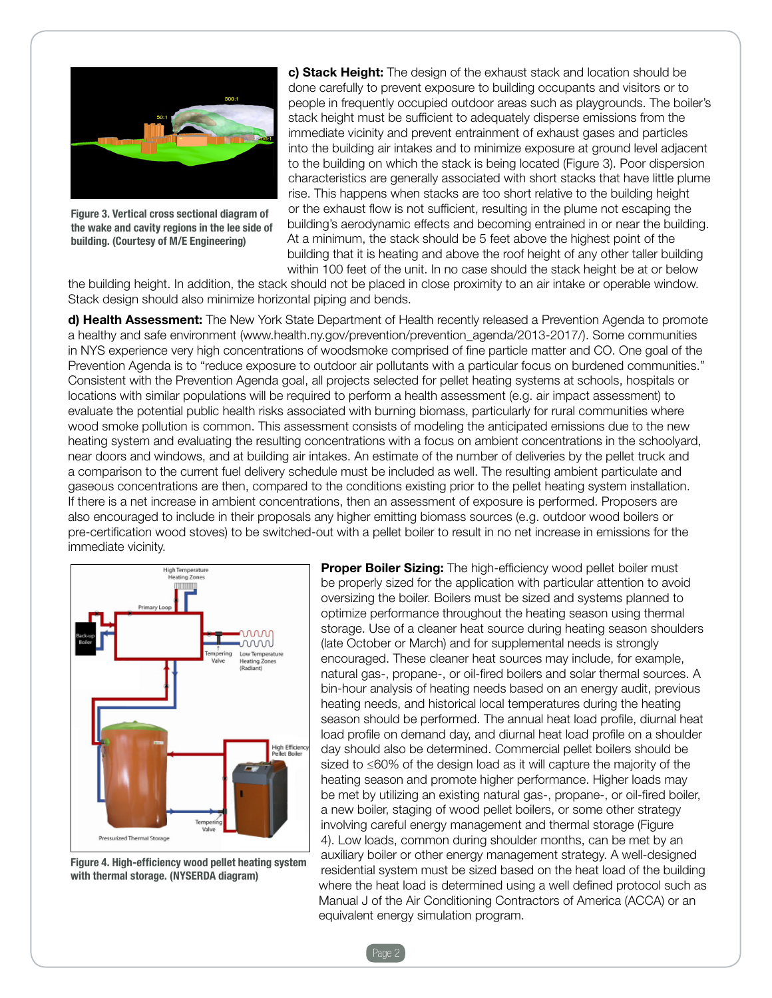

Figure 3. Vertical cross sectional diagram of the wake and cavity regions in the lee side of building. (Courtesy of M/E Engineering)

c) Stack Height: The design of the exhaust stack and location should be done carefully to prevent exposure to building occupants and visitors or to people in frequently occupied outdoor areas such as playgrounds. The boiler's stack height must be sufficient to adequately disperse emissions from the immediate vicinity and prevent entrainment of exhaust gases and particles into the building air intakes and to minimize exposure at ground level adjacent to the building on which the stack is being located (Figure 3). Poor dispersion characteristics are generally associated with short stacks that have little plume rise. This happens when stacks are too short relative to the building height or the exhaust flow is not sufficient, resulting in the plume not escaping the building's aerodynamic effects and becoming entrained in or near the building. At a minimum, the stack should be 5 feet above the highest point of the building that it is heating and above the roof height of any other taller building within 100 feet of the unit. In no case should the stack height be at or below

the building height. In addition, the stack should not be placed in close proximity to an air intake or operable window. Stack design should also minimize horizontal piping and bends.

d) Health Assessment: The New York State Department of Health recently released a Prevention Agenda to promote a healthy and safe environment (www.health.ny.gov/prevention/prevention\_agenda/2013-2017/). Some communities in NYS experience very high concentrations of woodsmoke comprised of fine particle matter and CO. One goal of the Prevention Agenda is to "reduce exposure to outdoor air pollutants with a particular focus on burdened communities." Consistent with the Prevention Agenda goal, all projects selected for pellet heating systems at schools, hospitals or locations with similar populations will be required to perform a health assessment (e.g. air impact assessment) to evaluate the potential public health risks associated with burning biomass, particularly for rural communities where wood smoke pollution is common. This assessment consists of modeling the anticipated emissions due to the new heating system and evaluating the resulting concentrations with a focus on ambient concentrations in the schoolyard, near doors and windows, and at building air intakes. An estimate of the number of deliveries by the pellet truck and a comparison to the current fuel delivery schedule must be included as well. The resulting ambient particulate and gaseous concentrations are then, compared to the conditions existing prior to the pellet heating system installation. If there is a net increase in ambient concentrations, then an assessment of exposure is performed. Proposers are also encouraged to include in their proposals any higher emitting biomass sources (e.g. outdoor wood boilers or pre-certification wood stoves) to be switched-out with a pellet boiler to result in no net increase in emissions for the immediate vicinity.



Figure 4. High-efficiency wood pellet heating system with thermal storage. (NYSERDA diagram)

**Proper Boiler Sizing:** The high-efficiency wood pellet boiler must be properly sized for the application with particular attention to avoid oversizing the boiler. Boilers must be sized and systems planned to optimize performance throughout the heating season using thermal storage. Use of a cleaner heat source during heating season shoulders (late October or March) and for supplemental needs is strongly encouraged. These cleaner heat sources may include, for example, natural gas-, propane-, or oil-fired boilers and solar thermal sources. A bin-hour analysis of heating needs based on an energy audit, previous heating needs, and historical local temperatures during the heating season should be performed. The annual heat load profile, diurnal heat load profile on demand day, and diurnal heat load profile on a shoulder day should also be determined. Commercial pellet boilers should be sized to ≤60% of the design load as it will capture the majority of the heating season and promote higher performance. Higher loads may be met by utilizing an existing natural gas-, propane-, or oil-fired boiler, a new boiler, staging of wood pellet boilers, or some other strategy involving careful energy management and thermal storage (Figure 4). Low loads, common during shoulder months, can be met by an auxiliary boiler or other energy management strategy. A well-designed residential system must be sized based on the heat load of the building where the heat load is determined using a well defined protocol such as Manual J of the Air Conditioning Contractors of America (ACCA) or an equivalent energy simulation program.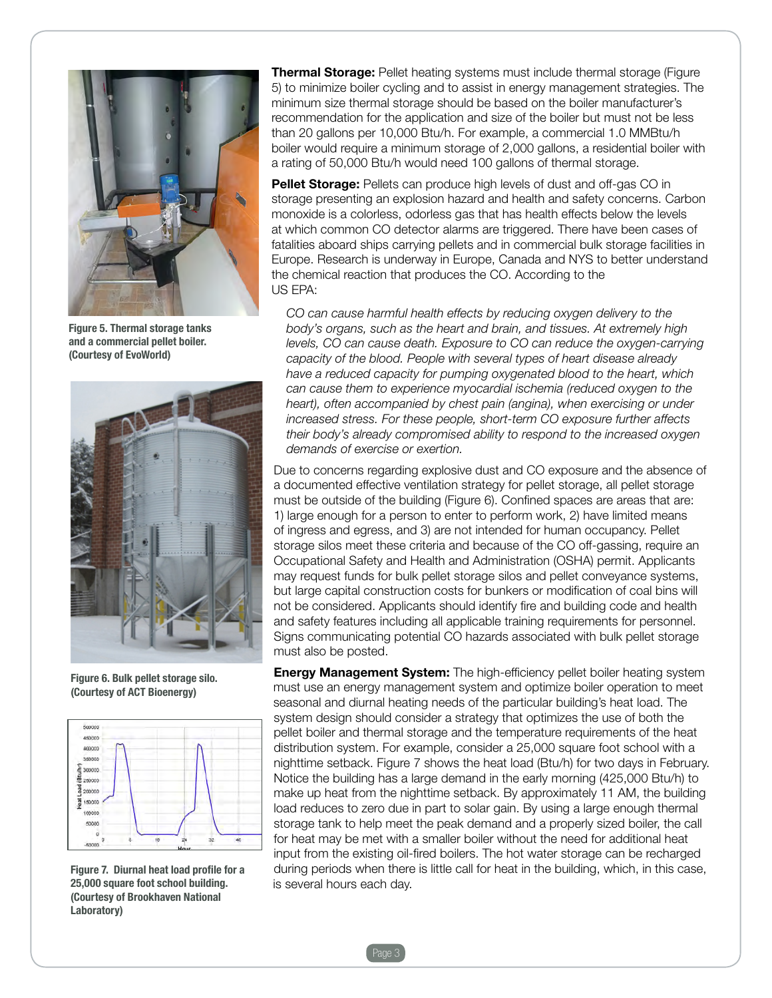

Figure 5. Thermal storage tanks and a commercial pellet boiler. (Courtesy of EvoWorld)



Figure 6. Bulk pellet storage silo. (Courtesy of ACT Bioenergy)



Figure 7. Diurnal heat load profile for a 25,000 square foot school building. (Courtesy of Brookhaven National Laboratory)

**Thermal Storage:** Pellet heating systems must include thermal storage (Figure 5) to minimize boiler cycling and to assist in energy management strategies. The minimum size thermal storage should be based on the boiler manufacturer's recommendation for the application and size of the boiler but must not be less than 20 gallons per 10,000 Btu/h. For example, a commercial 1.0 MMBtu/h boiler would require a minimum storage of 2,000 gallons, a residential boiler with a rating of 50,000 Btu/h would need 100 gallons of thermal storage.

Pellet Storage: Pellets can produce high levels of dust and off-gas CO in storage presenting an explosion hazard and health and safety concerns. Carbon monoxide is a colorless, odorless gas that has health effects below the levels at which common CO detector alarms are triggered. There have been cases of fatalities aboard ships carrying pellets and in commercial bulk storage facilities in Europe. Research is underway in Europe, Canada and NYS to better understand the chemical reaction that produces the CO. According to the US EPA:

 *CO can cause harmful health effects by reducing oxygen delivery to the body's organs, such as the heart and brain, and tissues. At extremely high levels, CO can cause death. Exposure to CO can reduce the oxygen-carrying capacity of the blood. People with several types of heart disease already have a reduced capacity for pumping oxygenated blood to the heart, which can cause them to experience myocardial ischemia (reduced oxygen to the heart*), often accompanied by chest pain (angina), when exercising or under *increased stress. For these people, short-term CO exposure further affects their body's already compromised ability to respond to the increased oxygen demands of exercise or exertion.* 

Due to concerns regarding explosive dust and CO exposure and the absence of a documented effective ventilation strategy for pellet storage, all pellet storage must be outside of the building (Figure 6). Confined spaces are areas that are: 1) large enough for a person to enter to perform work, 2) have limited means of ingress and egress, and 3) are not intended for human occupancy. Pellet storage silos meet these criteria and because of the CO off-gassing, require an Occupational Safety and Health and Administration (OSHA) permit. Applicants may request funds for bulk pellet storage silos and pellet conveyance systems, but large capital construction costs for bunkers or modification of coal bins will not be considered. Applicants should identify fire and building code and health and safety features including all applicable training requirements for personnel. Signs communicating potential CO hazards associated with bulk pellet storage must also be posted.

**Energy Management System:** The high-efficiency pellet boiler heating system must use an energy management system and optimize boiler operation to meet seasonal and diurnal heating needs of the particular building's heat load. The system design should consider a strategy that optimizes the use of both the pellet boiler and thermal storage and the temperature requirements of the heat distribution system. For example, consider a 25,000 square foot school with a nighttime setback. Figure 7 shows the heat load (Btu/h) for two days in February. Notice the building has a large demand in the early morning (425,000 Btu/h) to make up heat from the nighttime setback. By approximately 11 AM, the building load reduces to zero due in part to solar gain. By using a large enough thermal storage tank to help meet the peak demand and a properly sized boiler, the call for heat may be met with a smaller boiler without the need for additional heat input from the existing oil-fired boilers. The hot water storage can be recharged during periods when there is little call for heat in the building, which, in this case, is several hours each day.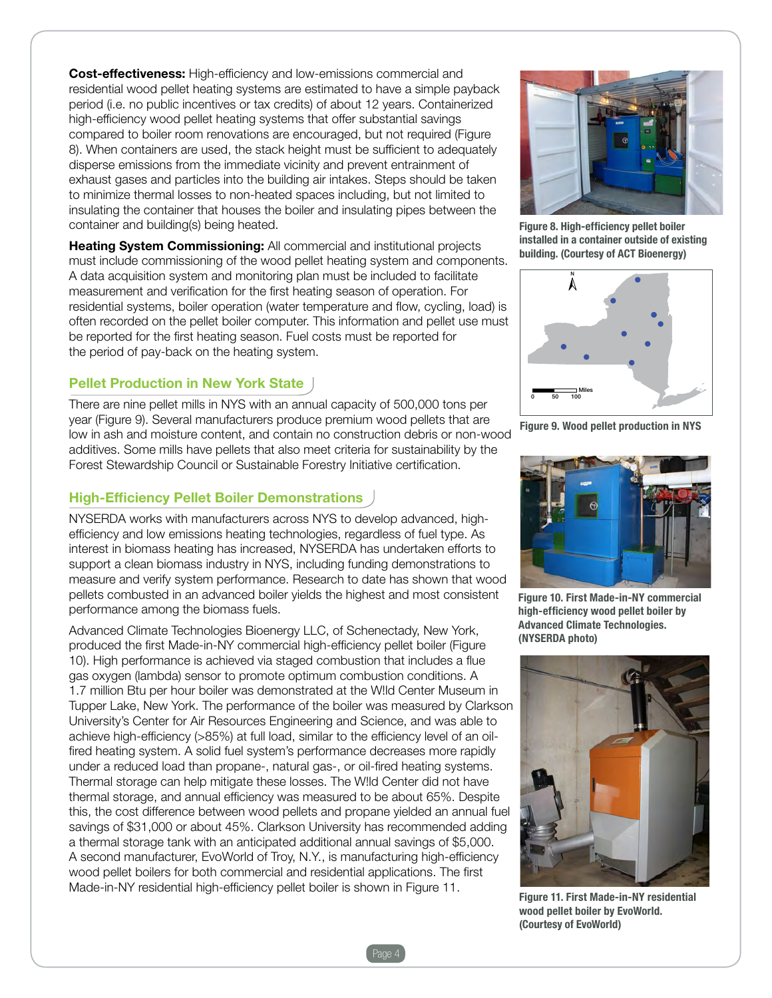Cost-effectiveness: High-efficiency and low-emissions commercial and residential wood pellet heating systems are estimated to have a simple payback period (i.e. no public incentives or tax credits) of about 12 years. Containerized high-efficiency wood pellet heating systems that offer substantial savings compared to boiler room renovations are encouraged, but not required (Figure 8). When containers are used, the stack height must be sufficient to adequately disperse emissions from the immediate vicinity and prevent entrainment of exhaust gases and particles into the building air intakes. Steps should be taken to minimize thermal losses to non-heated spaces including, but not limited to insulating the container that houses the boiler and insulating pipes between the container and building(s) being heated.

**Heating System Commissioning:** All commercial and institutional projects must include commissioning of the wood pellet heating system and components. A data acquisition system and monitoring plan must be included to facilitate measurement and verification for the first heating season of operation. For residential systems, boiler operation (water temperature and flow, cycling, load) is often recorded on the pellet boiler computer. This information and pellet use must be reported for the first heating season. Fuel costs must be reported for the period of pay-back on the heating system.

## Pellet Production in New York State

There are nine pellet mills in NYS with an annual capacity of 500,000 tons per year (Figure 9). Several manufacturers produce premium wood pellets that are low in ash and moisture content, and contain no construction debris or non-wood additives. Some mills have pellets that also meet criteria for sustainability by the Forest Stewardship Council or Sustainable Forestry Initiative certification.

## High-Efficiency Pellet Boiler Demonstrations

NYSERDA works with manufacturers across NYS to develop advanced, highefficiency and low emissions heating technologies, regardless of fuel type. As interest in biomass heating has increased, NYSERDA has undertaken efforts to support a clean biomass industry in NYS, including funding demonstrations to measure and verify system performance. Research to date has shown that wood pellets combusted in an advanced boiler yields the highest and most consistent performance among the biomass fuels.

Advanced Climate Technologies Bioenergy LLC, of Schenectady, New York, produced the first Made-in-NY commercial high-efficiency pellet boiler (Figure 10). High performance is achieved via staged combustion that includes a flue gas oxygen (lambda) sensor to promote optimum combustion conditions. A 1.7 million Btu per hour boiler was demonstrated at the W!ld Center Museum in Tupper Lake, New York. The performance of the boiler was measured by Clarkson University's Center for Air Resources Engineering and Science, and was able to achieve high-efficiency (>85%) at full load, similar to the efficiency level of an oilfired heating system. A solid fuel system's performance decreases more rapidly under a reduced load than propane-, natural gas-, or oil-fired heating systems. Thermal storage can help mitigate these losses. The W!ld Center did not have thermal storage, and annual efficiency was measured to be about 65%. Despite this, the cost difference between wood pellets and propane yielded an annual fuel savings of \$31,000 or about 45%. Clarkson University has recommended adding a thermal storage tank with an anticipated additional annual savings of \$5,000. A second manufacturer, EvoWorld of Troy, N.Y., is manufacturing high-efficiency wood pellet boilers for both commercial and residential applications. The first Made-in-NY residential high-efficiency pellet boiler is shown in Figure 11.



Figure 8. High-efficiency pellet boiler installed in a container outside of existing building. (Courtesy of ACT Bioenergy)



Figure 9. Wood pellet production in NYS



Figure 10. First Made-in-NY commercial high-efficiency wood pellet boiler by Advanced Climate Technologies. (NYSERDA photo)



Figure 11. First Made-in-NY residential wood pellet boiler by EvoWorld. (Courtesy of EvoWorld)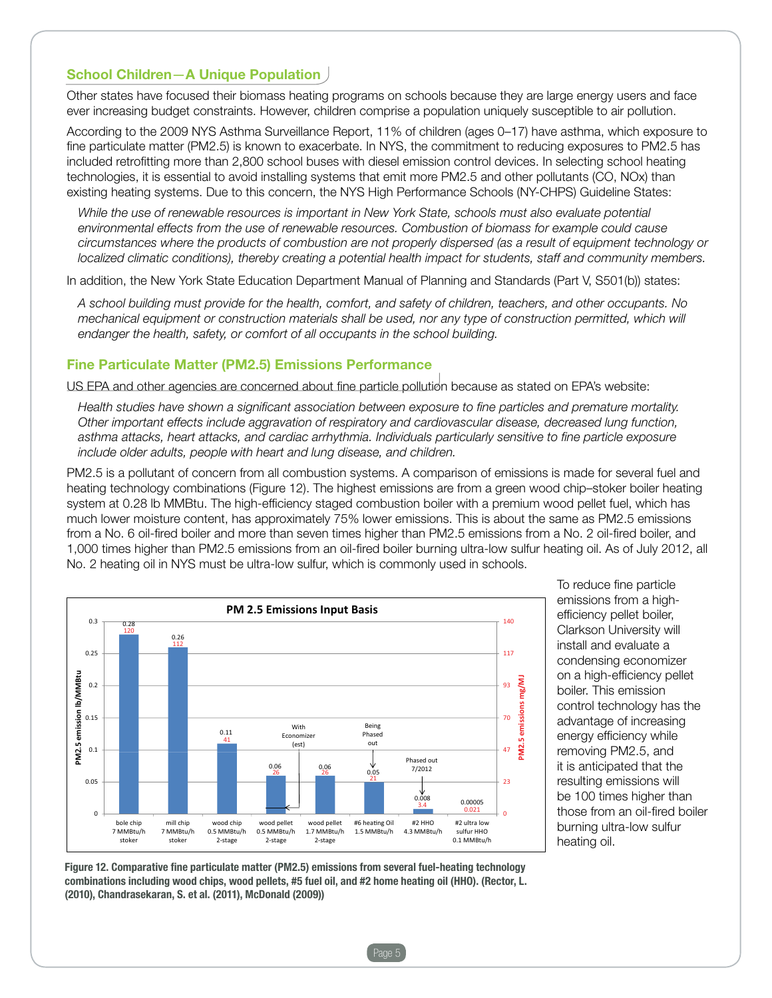### School Children—A Unique Population

Other states have focused their biomass heating programs on schools because they are large energy users and face ever increasing budget constraints. However, children comprise a population uniquely susceptible to air pollution.

According to the 2009 NYS Asthma Surveillance Report, 11% of children (ages 0–17) have asthma, which exposure to fine particulate matter (PM2.5) is known to exacerbate. In NYS, the commitment to reducing exposures to PM2.5 has included retrofitting more than 2,800 school buses with diesel emission control devices. In selecting school heating technologies, it is essential to avoid installing systems that emit more PM2.5 and other pollutants (CO, NOx) than existing heating systems. Due to this concern, the NYS High Performance Schools (NY-CHPS) Guideline States:

*While the use of renewable resources is important in New York State, schools must also evaluate potential environmental effects from the use of renewable resources. Combustion of biomass for example could cause circumstances where the products of combustion are not properly dispersed (as a result of equipment technology or localized climatic conditions), thereby creating a potential health impact for students, staff and community members.* 

In addition, the New York State Education Department Manual of Planning and Standards (Part V, S501(b)) states:

*A school building must provide for the health, comfort, and safety of children, teachers, and other occupants. No mechanical equipment or construction materials shall be used, nor any type of construction permitted, which will endanger the health, safety, or comfort of all occupants in the school building.*

### Fine Particulate Matter (PM2.5) Emissions Performance

US EPA and other agencies are concerned about fine particle pollution because as stated on EPA's website:

*Health studies have shown a significant association between exposure to fine particles and premature mortality. Other important effects include aggravation of respiratory and cardiovascular disease, decreased lung function, asthma attacks, heart attacks, and cardiac arrhythmia. Individuals particularly sensitive to fine particle exposure include older adults, people with heart and lung disease, and children.*

PM2.5 is a pollutant of concern from all combustion systems. A comparison of emissions is made for several fuel and heating technology combinations (Figure 12). The highest emissions are from a green wood chip–stoker boiler heating system at 0.28 lb MMBtu. The high-efficiency staged combustion boiler with a premium wood pellet fuel, which has much lower moisture content, has approximately 75% lower emissions. This is about the same as PM2.5 emissions from a No. 6 oil-fired boiler and more than seven times higher than PM2.5 emissions from a No. 2 oil-fired boiler, and 1,000 times higher than PM2.5 emissions from an oil-fired boiler burning ultra-low sulfur heating oil. As of July 2012, all No. 2 heating oil in NYS must be ultra-low sulfur, which is commonly used in schools.



To reduce fine particle emissions from a highefficiency pellet boiler, Clarkson University will install and evaluate a condensing economizer on a high-efficiency pellet boiler. This emission control technology has the advantage of increasing energy efficiency while removing PM2.5, and it is anticipated that the resulting emissions will be 100 times higher than those from an oil-fired boiler burning ultra-low sulfur heating oil.

Figure 12. Comparative fine particulate matter (PM2.5) emissions from several fuel-heating technology combinations including wood chips, wood pellets, #5 fuel oil, and #2 home heating oil (HHO). (Rector, L. (2010), Chandrasekaran, S. et al. (2011), McDonald (2009))